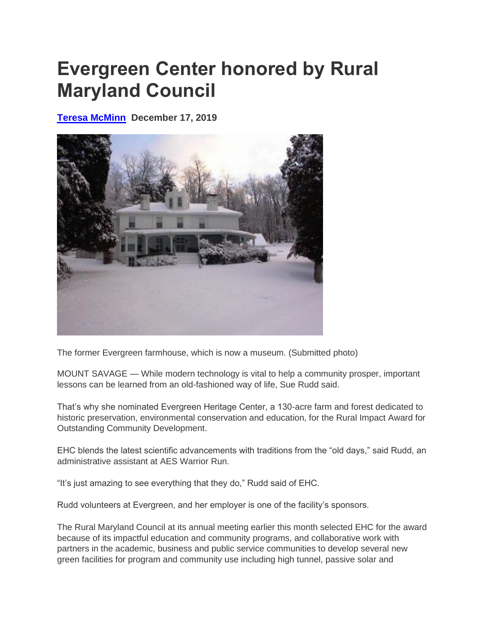## **Evergreen Center honored by Rural Maryland Council**

**[Teresa McMinn](https://www.times-news.com/users/profile/Teresa%20McMinn) December 17, 2019**



The former Evergreen farmhouse, which is now a museum. (Submitted photo)

MOUNT SAVAGE — While modern technology is vital to help a community prosper, important lessons can be learned from an old-fashioned way of life, Sue Rudd said.

That's why she nominated Evergreen Heritage Center, a 130-acre farm and forest dedicated to historic preservation, environmental conservation and education, for the Rural Impact Award for Outstanding Community Development.

EHC blends the latest scientific advancements with traditions from the "old days," said Rudd, an administrative assistant at AES Warrior Run.

"It's just amazing to see everything that they do," Rudd said of EHC.

Rudd volunteers at Evergreen, and her employer is one of the facility's sponsors.

The Rural Maryland Council at its annual meeting earlier this month selected EHC for the award because of its impactful education and community programs, and collaborative work with partners in the academic, business and public service communities to develop several new green facilities for program and community use including high tunnel, passive solar and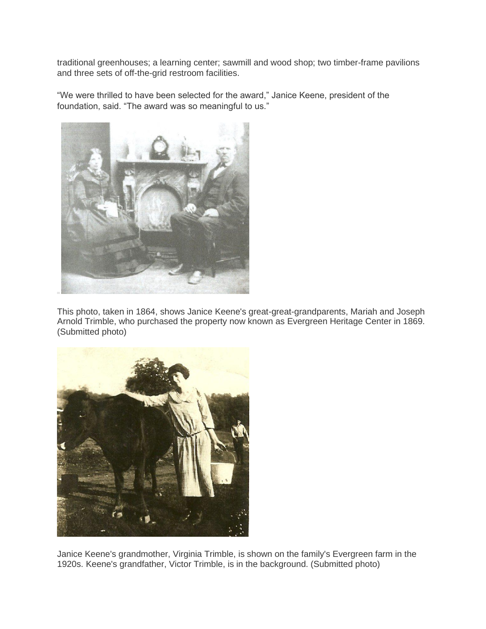traditional greenhouses; a learning center; sawmill and wood shop; two timber-frame pavilions and three sets of off-the-grid restroom facilities.

"We were thrilled to have been selected for the award," Janice Keene, president of the foundation, said. "The award was so meaningful to us."



This photo, taken in 1864, shows Janice Keene's great-great-grandparents, Mariah and Joseph Arnold Trimble, who purchased the property now known as Evergreen Heritage Center in 1869. (Submitted photo)



Janice Keene's grandmother, Virginia Trimble, is shown on the family's Evergreen farm in the 1920s. Keene's grandfather, Victor Trimble, is in the background. (Submitted photo)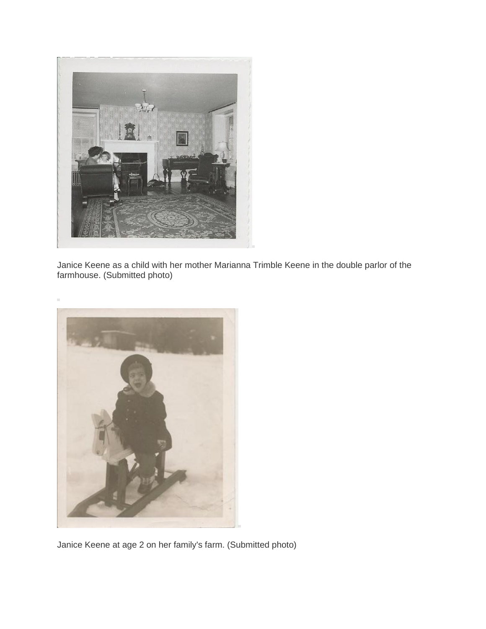

Janice Keene as a child with her mother Marianna Trimble Keene in the double parlor of the farmhouse. (Submitted photo)



Janice Keene at age 2 on her family's farm. (Submitted photo)